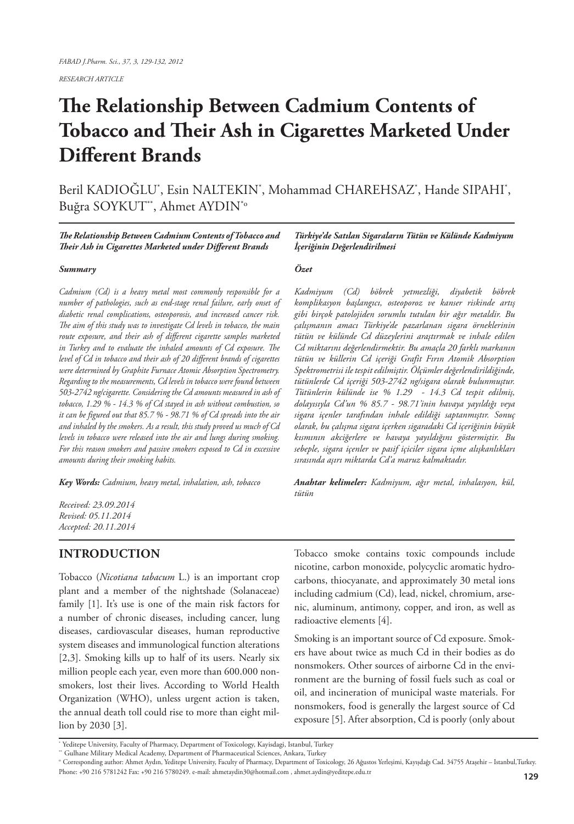*RESEARCH ARTICLE*

# **The Relationship Between Cadmium Contents of Tobacco and Their Ash in Cigarettes Marketed Under Different Brands**

Beril KADIOGLU\*, Esin NALTEKIN\*, Mohammad CHAREHSAZ\*, Hande SIPAHI\*, Buğra SOYKUT\*\*, Ahmet AYDIN\*o

*The Relationship Between Cadmium Contents of Tobacco and Their Ash in Cigarettes Marketed under Different Brands*

#### *Summary*

*Cadmium (Cd) is a heavy metal most commonly responsible for a number of pathologies, such as end-stage renal failure, early onset of diabetic renal complications, osteoporosis, and increased cancer risk. The aim of this study was to investigate Cd levels in tobacco, the main route exposure, and their ash of different cigarette samples marketed in Turkey and to evaluate the inhaled amounts of Cd exposure. The level of Cd in tobacco and their ash of 20 different brands of cigarettes were determined by Graphite Furnace Atomic Absorption Spectrometry. Regarding to the measurements, Cd levels in tobacco were found between 503-2742 ng/cigarette. Considering the Cd amounts measured in ash of tobacco, 1.29 % - 14.3 % of Cd stayed in ash without combustion, so it can be figured out that 85.7 % - 98.71 % of Cd spreads into the air and inhaled by the smokers. As a result, this study proved us much of Cd levels in tobacco were released into the air and lungs during smoking. For this reason smokers and passive smokers exposed to Cd in excessive amounts during their smoking habits.*

*Key Words: Cadmium, heavy metal, inhalation, ash, tobacco*

*Received: 23.09.2014 Revised: 05.11.2014 Accepted: 20.11.2014*

### **INTRODUCTION**

Tobacco (*Nicotiana tabacum* L.) is an important crop plant and a member of the nightshade (Solanaceae) family [1]. It's use is one of the main risk factors for a number of chronic diseases, including cancer, lung diseases, cardiovascular diseases, human reproductive system diseases and immunological function alterations [2,3]. Smoking kills up to half of its users. Nearly six million people each year, even more than 600.000 nonsmokers, lost their lives. According to World Health Organization (WHO), unless urgent action is taken, the annual death toll could rise to more than eight million by 2030 [3].

*Türkiye'de Satılan Sigaraların Tütün ve Külünde Kadmiyum İçeriğinin Değerlendirilmesi*

#### *Özet*

*Kadmiyum (Cd) böbrek yetmezliği, diyabetik böbrek komplikasyon başlangıcı, osteoporoz ve kanser riskinde artış gibi birçok patolojiden sorumlu tutulan bir ağır metaldir. Bu çalışmanın amacı Türkiye'de pazarlanan sigara örneklerinin tütün ve külünde Cd düzeylerini araştırmak ve inhale edilen Cd miktarını değerlendirmektir. Bu amaçla 20 farklı markanın tütün ve küllerin Cd içeriği Grafit Fırın Atomik Absorption Spektrometrisi ile tespit edilmiştir. Ölçümler değerlendirildiğinde, tütünlerde Cd içeriği 503-2742 ng/sigara olarak bulunmuştur. Tütünlerin külünde ise % 1.29 - 14.3 Cd tespit edilmiş, dolayısıyla Cd'un % 85.7 - 98.71'inin havaya yayıldığı veya sigara içenler tarafından inhale edildiği saptanmıştır. Sonuç olarak, bu çalışma sigara içerken sigaradaki Cd içeriğinin büyük kısmının akciğerlere ve havaya yayıldığını göstermiştir. Bu sebeple, sigara içenler ve pasif içiciler sigara içme alışkanlıkları sırasında aşırı miktarda Cd'a maruz kalmaktadır.*

*Anahtar kelimeler: Kadmiyum, ağır metal, inhalasyon, kül, tütün*

Tobacco smoke contains toxic compounds include nicotine, carbon monoxide, polycyclic aromatic hydrocarbons, thiocyanate, and approximately 30 metal ions including cadmium (Cd), lead, nickel, chromium, arsenic, aluminum, antimony, copper, and iron, as well as radioactive elements [4].

Smoking is an important source of Cd exposure. Smokers have about twice as much Cd in their bodies as do nonsmokers. Other sources of airborne Cd in the environment are the burning of fossil fuels such as coal or oil, and incineration of municipal waste materials. For nonsmokers, food is generally the largest source of Cd exposure [5]. After absorption, Cd is poorly (only about

<sup>\*</sup> Yeditepe University, Faculty of Pharmacy, Department of Toxicology, Kayisdagi, Istanbul, Turkey

<sup>\*\*</sup> Gulhane Military Medical Academy, Department of Pharmaceutical Sciences, Ankara, Turkey

o Corresponding author: Ahmet Aydın, Yeditepe University, Faculty of Pharmacy, Department of Toxicology, 26 Ağustos Yerleşimi, Kayışdağı Cad. 34755 Ataşehir – Istanbul,Turkey. Phone: +90 216 5781242 Fax: +90 216 5780249. e-mail: ahmetaydin30@hotmail.com , ahmet.aydin@yeditepe.edu.tr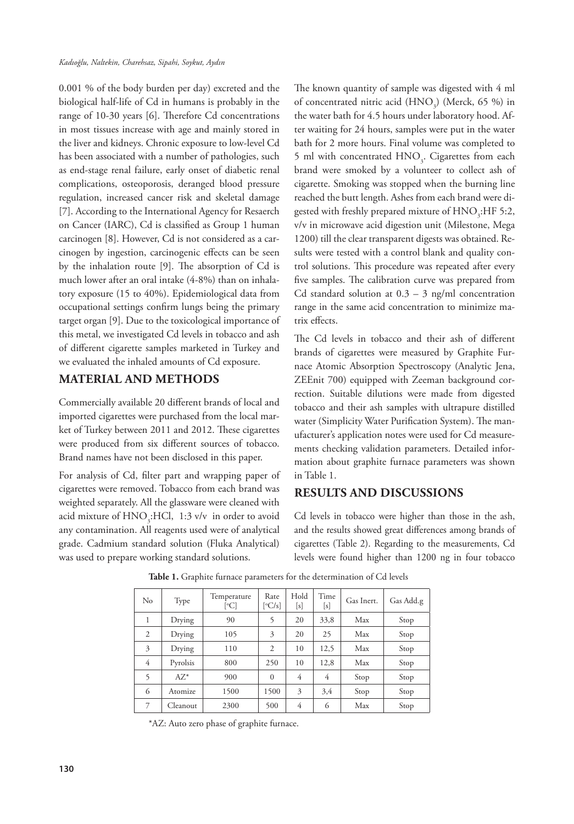0.001 % of the body burden per day) excreted and the biological half-life of Cd in humans is probably in the range of 10-30 years [6]. Therefore Cd concentrations in most tissues increase with age and mainly stored in the liver and kidneys. Chronic exposure to low-level Cd has been associated with a number of pathologies, such as end-stage renal failure, early onset of diabetic renal complications, osteoporosis, deranged blood pressure regulation, increased cancer risk and skeletal damage [7]. According to the International Agency for Resaerch on Cancer (IARC), Cd is classified as Group 1 human carcinogen [8]. However, Cd is not considered as a carcinogen by ingestion, carcinogenic effects can be seen by the inhalation route [9]. The absorption of Cd is much lower after an oral intake (4-8%) than on inhalatory exposure (15 to 40%). Epidemiological data from occupational settings confirm lungs being the primary target organ [9]. Due to the toxicological importance of this metal, we investigated Cd levels in tobacco and ash of different cigarette samples marketed in Turkey and we evaluated the inhaled amounts of Cd exposure.

## **MATERIAL AND METHODS**

Commercially available 20 different brands of local and imported cigarettes were purchased from the local market of Turkey between 2011 and 2012. These cigarettes were produced from six different sources of tobacco. Brand names have not been disclosed in this paper.

For analysis of Cd, filter part and wrapping paper of cigarettes were removed. Tobacco from each brand was weighted separately. All the glassware were cleaned with acid mixture of  $\text{HNO}_3$ :HCl, 1:3 v/v in order to avoid any contamination. All reagents used were of analytical grade. Cadmium standard solution (Fluka Analytical) was used to prepare working standard solutions.

The known quantity of sample was digested with 4 ml of concentrated nitric acid  $(HNO<sub>3</sub>)$  (Merck, 65 %) in the water bath for 4.5 hours under laboratory hood. After waiting for 24 hours, samples were put in the water bath for 2 more hours. Final volume was completed to 5 ml with concentrated  $HNO<sub>3</sub>$ . Cigarettes from each brand were smoked by a volunteer to collect ash of cigarette. Smoking was stopped when the burning line reached the butt length. Ashes from each brand were digested with freshly prepared mixture of  $\text{HNO}_3\text{:HF 5:2,}$ v/v in microwave acid digestion unit (Milestone, Mega 1200) till the clear transparent digests was obtained. Results were tested with a control blank and quality control solutions. This procedure was repeated after every five samples. The calibration curve was prepared from Cd standard solution at  $0.3 - 3$  ng/ml concentration range in the same acid concentration to minimize matrix effects.

The Cd levels in tobacco and their ash of different brands of cigarettes were measured by Graphite Furnace Atomic Absorption Spectroscopy (Analytic Jena, ZEEnit 700) equipped with Zeeman background correction. Suitable dilutions were made from digested tobacco and their ash samples with ultrapure distilled water (Simplicity Water Purification System). The manufacturer's application notes were used for Cd measurements checking validation parameters. Detailed information about graphite furnace parameters was shown in Table 1.

## **RESULTS AND DISCUSSIONS**

Cd levels in tobacco were higher than those in the ash, and the results showed great differences among brands of cigarettes (Table 2). Regarding to the measurements, Cd levels were found higher than 1200 ng in four tobacco

| No | Type     | Temperature<br>[°C] | Rate<br>$\left[ \mathrm{^{\circ}C/s} \right]$ | Hold<br>[s] | Time<br>[s] | Gas Inert. | Gas Add.g |
|----|----------|---------------------|-----------------------------------------------|-------------|-------------|------------|-----------|
| 1  | Drying   | 90                  | 5                                             | 20          | 33,8        | Max        | Stop      |
| 2  | Drying   | 105                 | 3                                             | 20          | 25          | Max        | Stop      |
| 3  | Drying   | 110                 | 2                                             | 10          | 12,5        | Max        | Stop      |
| 4  | Pyrolsis | 800                 | 250                                           | 10          | 12,8        | Max        | Stop      |
| 5  | $AZ^*$   | 900                 | $\Omega$                                      | 4           | 4           | Stop       | Stop      |
| 6  | Atomize  | 1500                | 1500                                          | 3           | 3,4         | Stop       | Stop      |
| 7  | Cleanout | 2300                | 500                                           | 4           | 6           | Max        | Stop      |

Table 1. Graphite furnace parameters for the determination of Cd levels

\*AZ: Auto zero phase of graphite furnace.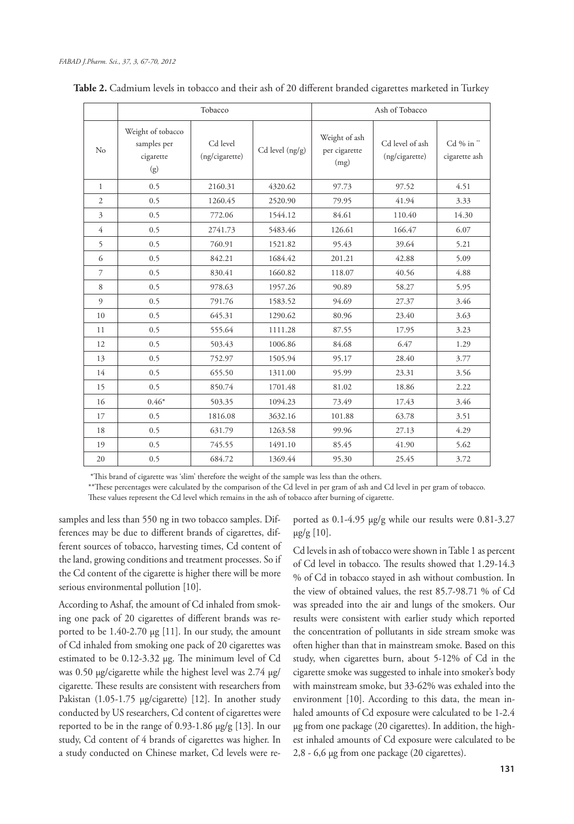|                         |                                                      | Tobacco                    |                     | Ash of Tobacco                         |                                   |                           |  |
|-------------------------|------------------------------------------------------|----------------------------|---------------------|----------------------------------------|-----------------------------------|---------------------------|--|
| No                      | Weight of tobacco<br>samples per<br>cigarette<br>(g) | Cd level<br>(ng/cigarette) | $Cd$ level $(ng/g)$ | Weight of ash<br>per cigarette<br>(mg) | Cd level of ash<br>(ng/cigarette) | Cd % in"<br>cigarette ash |  |
| $\mathbf{1}$            | 0.5                                                  | 2160.31                    | 4320.62             | 97.73                                  | 97.52                             | 4.51                      |  |
| $\overline{2}$          | 0.5                                                  | 1260.45                    | 2520.90             | 79.95                                  | 41.94                             | 3.33                      |  |
| $\overline{\mathbf{3}}$ | 0.5                                                  | 772.06                     | 1544.12             | 84.61                                  | 110.40                            | 14.30                     |  |
| 4                       | 0.5                                                  | 2741.73                    | 5483.46             | 126.61                                 | 166.47                            | 6.07                      |  |
| 5                       | 0.5                                                  | 760.91                     | 1521.82             | 95.43                                  | 39.64                             | 5.21                      |  |
| 6                       | 0.5                                                  | 842.21                     | 1684.42             | 201.21                                 | 42.88                             | 5.09                      |  |
| $\overline{7}$          | 0.5                                                  | 830.41                     | 1660.82             | 118.07                                 | 40.56                             | 4.88                      |  |
| 8                       | 0.5                                                  | 978.63                     | 1957.26             | 90.89                                  | 58.27                             | 5.95                      |  |
| $\mathfrak{g}$          | 0.5                                                  | 791.76                     | 1583.52             | 94.69                                  | 27.37                             | 3.46                      |  |
| 10                      | 0.5                                                  | 645.31                     | 1290.62             | 80.96                                  | 23.40                             | 3.63                      |  |
| 11                      | 0.5                                                  | 555.64                     | 1111.28             | 87.55                                  | 17.95                             | 3.23                      |  |
| 12                      | 0.5                                                  | 503.43                     | 1006.86             | 84.68                                  | 6.47                              | 1.29                      |  |
| 13                      | 0.5                                                  | 752.97                     | 1505.94             | 95.17                                  | 28.40                             | 3.77                      |  |
| 14                      | 0.5                                                  | 655.50                     | 1311.00             | 95.99                                  | 23.31                             | 3.56                      |  |
| 15                      | 0.5                                                  | 850.74                     | 1701.48             | 81.02                                  | 18.86                             | 2.22                      |  |
| 16                      | $0.46*$                                              | 503.35                     | 1094.23             | 73.49                                  | 17.43                             | 3.46                      |  |
| 17                      | 0.5                                                  | 1816.08                    | 3632.16             | 101.88                                 | 63.78                             | 3.51                      |  |
| 18                      | 0.5                                                  | 631.79                     | 1263.58             | 99.96                                  | 27.13                             | 4.29                      |  |
| 19                      | 0.5                                                  | 745.55                     | 1491.10             | 85.45                                  | 41.90                             | 5.62                      |  |
| 20                      | 0.5                                                  | 684.72                     | 1369.44             | 95.30                                  | 25.45                             | 3.72                      |  |

**Table 2.** Cadmium levels in tobacco and their ash of 20 different branded cigarettes marketed in Turkey

\*This brand of cigarette was 'slim' therefore the weight of the sample was less than the others.

\*\*These percentages were calculated by the comparison of the Cd level in per gram of ash and Cd level in per gram of tobacco.

These values represent the Cd level which remains in the ash of tobacco after burning of cigarette.

samples and less than 550 ng in two tobacco samples. Differences may be due to different brands of cigarettes, different sources of tobacco, harvesting times, Cd content of the land, growing conditions and treatment processes. So if the Cd content of the cigarette is higher there will be more serious environmental pollution [10].

According to Ashaf, the amount of Cd inhaled from smoking one pack of 20 cigarettes of different brands was reported to be  $1.40-2.70 \mu g$  [11]. In our study, the amount of Cd inhaled from smoking one pack of 20 cigarettes was estimated to be 0.12-3.32 µg. The minimum level of Cd was 0.50 µg/cigarette while the highest level was 2.74 µg/ cigarette. These results are consistent with researchers from Pakistan (1.05-1.75 µg/cigarette) [12]. In another study conducted by US researchers, Cd content of cigarettes were reported to be in the range of 0.93-1.86 µg/g [13]. In our study, Cd content of 4 brands of cigarettes was higher. In a study conducted on Chinese market, Cd levels were re-

ported as 0.1-4.95 µg/g while our results were 0.81-3.27  $\mu$ g/g [10].

Cd levels in ash of tobacco were shown in Table 1 as percent of Cd level in tobacco. The results showed that 1.29-14.3 % of Cd in tobacco stayed in ash without combustion. In the view of obtained values, the rest 85.7-98.71 % of Cd was spreaded into the air and lungs of the smokers. Our results were consistent with earlier study which reported the concentration of pollutants in side stream smoke was often higher than that in mainstream smoke. Based on this study, when cigarettes burn, about 5-12% of Cd in the cigarette smoke was suggested to inhale into smoker's body with mainstream smoke, but 33-62% was exhaled into the environment [10]. According to this data, the mean inhaled amounts of Cd exposure were calculated to be 1-2.4 µg from one package (20 cigarettes). In addition, the highest inhaled amounts of Cd exposure were calculated to be 2,8 - 6,6 µg from one package (20 cigarettes).